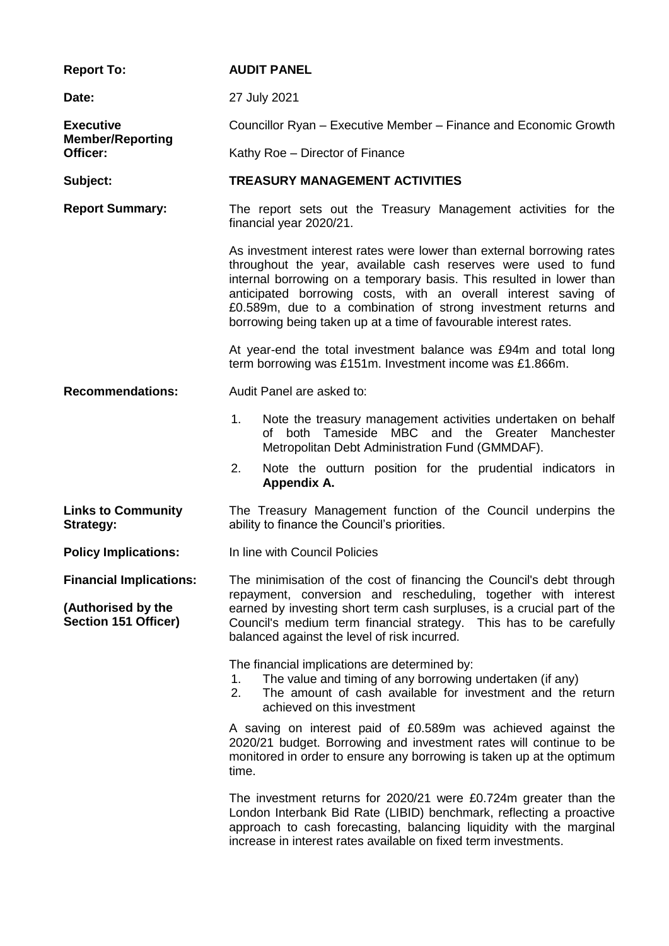| <b>Report To:</b>                                                            | <b>AUDIT PANEL</b>                                                                                                                                                                                                                                                                                                                                                                                                       |  |  |
|------------------------------------------------------------------------------|--------------------------------------------------------------------------------------------------------------------------------------------------------------------------------------------------------------------------------------------------------------------------------------------------------------------------------------------------------------------------------------------------------------------------|--|--|
| Date:                                                                        | 27 July 2021                                                                                                                                                                                                                                                                                                                                                                                                             |  |  |
| <b>Executive</b><br><b>Member/Reporting</b>                                  | Councillor Ryan – Executive Member – Finance and Economic Growth                                                                                                                                                                                                                                                                                                                                                         |  |  |
| Officer:                                                                     | Kathy Roe - Director of Finance                                                                                                                                                                                                                                                                                                                                                                                          |  |  |
| Subject:                                                                     | <b>TREASURY MANAGEMENT ACTIVITIES</b>                                                                                                                                                                                                                                                                                                                                                                                    |  |  |
| <b>Report Summary:</b>                                                       | The report sets out the Treasury Management activities for the<br>financial year 2020/21.                                                                                                                                                                                                                                                                                                                                |  |  |
|                                                                              | As investment interest rates were lower than external borrowing rates<br>throughout the year, available cash reserves were used to fund<br>internal borrowing on a temporary basis. This resulted in lower than<br>anticipated borrowing costs, with an overall interest saving of<br>£0.589m, due to a combination of strong investment returns and<br>borrowing being taken up at a time of favourable interest rates. |  |  |
|                                                                              | At year-end the total investment balance was £94m and total long<br>term borrowing was £151m. Investment income was £1.866m.                                                                                                                                                                                                                                                                                             |  |  |
| <b>Recommendations:</b>                                                      | Audit Panel are asked to:                                                                                                                                                                                                                                                                                                                                                                                                |  |  |
|                                                                              | 1.<br>Note the treasury management activities undertaken on behalf<br>of both Tameside MBC and the Greater Manchester<br>Metropolitan Debt Administration Fund (GMMDAF).                                                                                                                                                                                                                                                 |  |  |
|                                                                              | 2.<br>Note the outturn position for the prudential indicators in<br>Appendix A.                                                                                                                                                                                                                                                                                                                                          |  |  |
| <b>Links to Community</b><br><b>Strategy:</b>                                | The Treasury Management function of the Council underpins the<br>ability to finance the Council's priorities.                                                                                                                                                                                                                                                                                                            |  |  |
| <b>Policy Implications:</b>                                                  | In line with Council Policies                                                                                                                                                                                                                                                                                                                                                                                            |  |  |
| <b>Financial Implications:</b><br>(Authorised by the<br>Section 151 Officer) | The minimisation of the cost of financing the Council's debt through<br>repayment, conversion and rescheduling, together with interest<br>earned by investing short term cash surpluses, is a crucial part of the<br>Council's medium term financial strategy. This has to be carefully<br>balanced against the level of risk incurred.                                                                                  |  |  |
|                                                                              | The financial implications are determined by:<br>The value and timing of any borrowing undertaken (if any)<br>1.<br>The amount of cash available for investment and the return<br>2.<br>achieved on this investment                                                                                                                                                                                                      |  |  |
|                                                                              | A saving on interest paid of £0.589m was achieved against the<br>2020/21 budget. Borrowing and investment rates will continue to be<br>monitored in order to ensure any borrowing is taken up at the optimum<br>time.                                                                                                                                                                                                    |  |  |
|                                                                              | The investment returns for 2020/21 were £0.724m greater than the<br>London Interbank Bid Rate (LIBID) benchmark, reflecting a proactive<br>approach to cash forecasting, balancing liquidity with the marginal<br>increase in interest rates available on fixed term investments.                                                                                                                                        |  |  |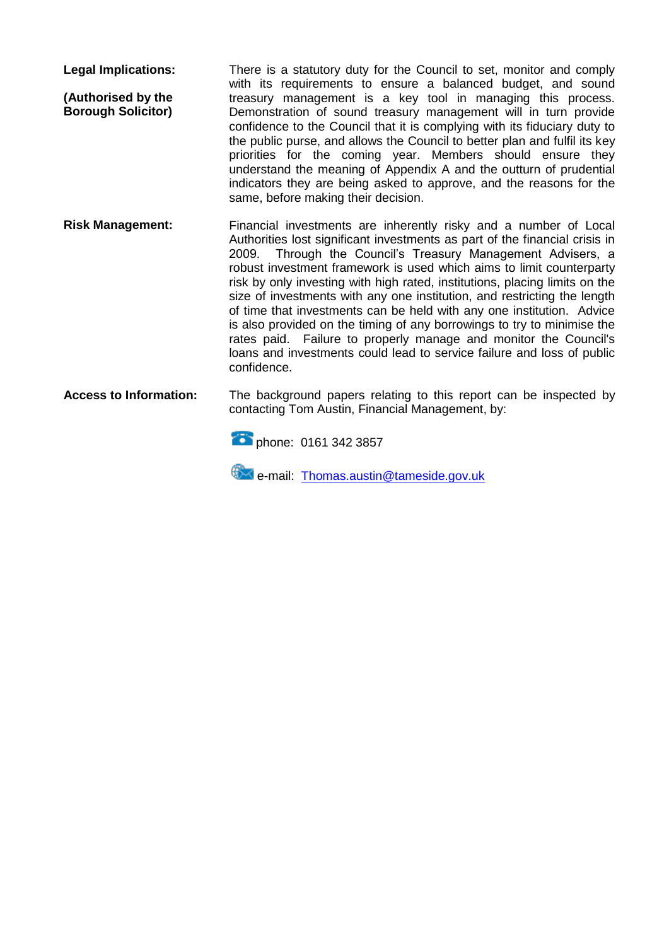**Legal Implications: (Authorised by the Borough Solicitor)** There is a statutory duty for the Council to set, monitor and comply with its requirements to ensure a balanced budget, and sound treasury management is a key tool in managing this process. Demonstration of sound treasury management will in turn provide confidence to the Council that it is complying with its fiduciary duty to the public purse, and allows the Council to better plan and fulfil its key priorities for the coming year. Members should ensure they understand the meaning of Appendix A and the outturn of prudential indicators they are being asked to approve, and the reasons for the same, before making their decision.

**Risk Management:** Financial investments are inherently risky and a number of Local Authorities lost significant investments as part of the financial crisis in 2009. Through the Council's Treasury Management Advisers. a Through the Council's Treasury Management Advisers, a robust investment framework is used which aims to limit counterparty risk by only investing with high rated, institutions, placing limits on the size of investments with any one institution, and restricting the length of time that investments can be held with any one institution. Advice is also provided on the timing of any borrowings to try to minimise the rates paid. Failure to properly manage and monitor the Council's loans and investments could lead to service failure and loss of public confidence.

**Access to Information:** The background papers relating to this report can be inspected by contacting Tom Austin, Financial Management, by:



**EX** e-mail: [Thomas.austin@tameside.gov.uk](mailto:Thomas.austin@tameside.gov.uk)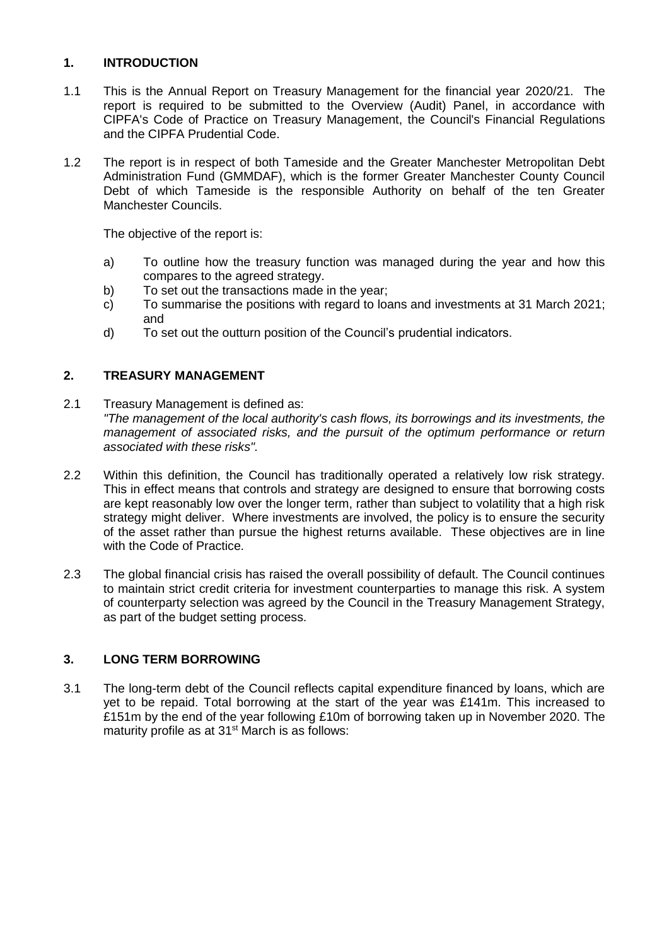# **1. INTRODUCTION**

- 1.1 This is the Annual Report on Treasury Management for the financial year 2020/21. The report is required to be submitted to the Overview (Audit) Panel, in accordance with CIPFA's Code of Practice on Treasury Management, the Council's Financial Regulations and the CIPFA Prudential Code.
- 1.2 The report is in respect of both Tameside and the Greater Manchester Metropolitan Debt Administration Fund (GMMDAF), which is the former Greater Manchester County Council Debt of which Tameside is the responsible Authority on behalf of the ten Greater Manchester Councils.

The objective of the report is:

- a) To outline how the treasury function was managed during the year and how this compares to the agreed strategy.
- b) To set out the transactions made in the year;
- c) To summarise the positions with regard to loans and investments at 31 March 2021; and
- d) To set out the outturn position of the Council's prudential indicators.

# **2. TREASURY MANAGEMENT**

- 2.1 Treasury Management is defined as: *"The management of the local authority's cash flows, its borrowings and its investments, the management of associated risks, and the pursuit of the optimum performance or return associated with these risks".*
- 2.2 Within this definition, the Council has traditionally operated a relatively low risk strategy. This in effect means that controls and strategy are designed to ensure that borrowing costs are kept reasonably low over the longer term, rather than subject to volatility that a high risk strategy might deliver. Where investments are involved, the policy is to ensure the security of the asset rather than pursue the highest returns available. These objectives are in line with the Code of Practice.
- 2.3 The global financial crisis has raised the overall possibility of default. The Council continues to maintain strict credit criteria for investment counterparties to manage this risk. A system of counterparty selection was agreed by the Council in the Treasury Management Strategy, as part of the budget setting process.

## **3. LONG TERM BORROWING**

3.1 The long-term debt of the Council reflects capital expenditure financed by loans, which are yet to be repaid. Total borrowing at the start of the year was £141m. This increased to £151m by the end of the year following £10m of borrowing taken up in November 2020. The maturity profile as at 31<sup>st</sup> March is as follows: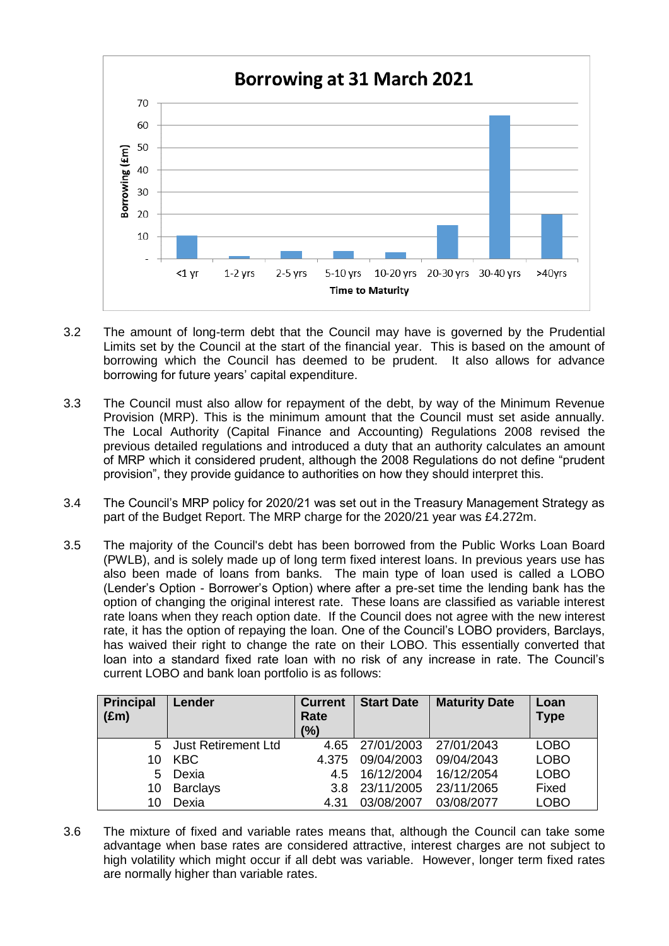

- 3.2 The amount of long-term debt that the Council may have is governed by the Prudential Limits set by the Council at the start of the financial year. This is based on the amount of borrowing which the Council has deemed to be prudent. It also allows for advance borrowing for future years' capital expenditure.
- 3.3 The Council must also allow for repayment of the debt, by way of the Minimum Revenue Provision (MRP). This is the minimum amount that the Council must set aside annually. The Local Authority (Capital Finance and Accounting) Regulations 2008 revised the previous detailed regulations and introduced a duty that an authority calculates an amount of MRP which it considered prudent, although the 2008 Regulations do not define "prudent provision", they provide guidance to authorities on how they should interpret this.
- 3.4 The Council's MRP policy for 2020/21 was set out in the Treasury Management Strategy as part of the Budget Report. The MRP charge for the 2020/21 year was £4.272m.
- 3.5 The majority of the Council's debt has been borrowed from the Public Works Loan Board (PWLB), and is solely made up of long term fixed interest loans. In previous years use has also been made of loans from banks. The main type of loan used is called a LOBO (Lender's Option - Borrower's Option) where after a pre-set time the lending bank has the option of changing the original interest rate. These loans are classified as variable interest rate loans when they reach option date. If the Council does not agree with the new interest rate, it has the option of repaying the loan. One of the Council's LOBO providers, Barclays, has waived their right to change the rate on their LOBO. This essentially converted that loan into a standard fixed rate loan with no risk of any increase in rate. The Council's current LOBO and bank loan portfolio is as follows:

| <b>Principal</b><br>$(\text{Em})$ | Lender                     | <b>Current</b><br>Rate<br>(%) | <b>Start Date</b> | <b>Maturity Date</b> | Loan<br><b>Type</b> |
|-----------------------------------|----------------------------|-------------------------------|-------------------|----------------------|---------------------|
| 5                                 | <b>Just Retirement Ltd</b> | 4.65                          | 27/01/2003        | 27/01/2043           | <b>LOBO</b>         |
| 10                                | <b>KBC</b>                 | 4.375                         | 09/04/2003        | 09/04/2043           | <b>LOBO</b>         |
| 5                                 | Dexia                      | 4.5                           | 16/12/2004        | 16/12/2054           | <b>LOBO</b>         |
| 10                                | <b>Barclays</b>            | 3.8                           | 23/11/2005        | 23/11/2065           | Fixed               |
| 10                                | Dexia                      | 4.31                          | 03/08/2007        | 03/08/2077           | LOBO                |

3.6 The mixture of fixed and variable rates means that, although the Council can take some advantage when base rates are considered attractive, interest charges are not subject to high volatility which might occur if all debt was variable. However, longer term fixed rates are normally higher than variable rates.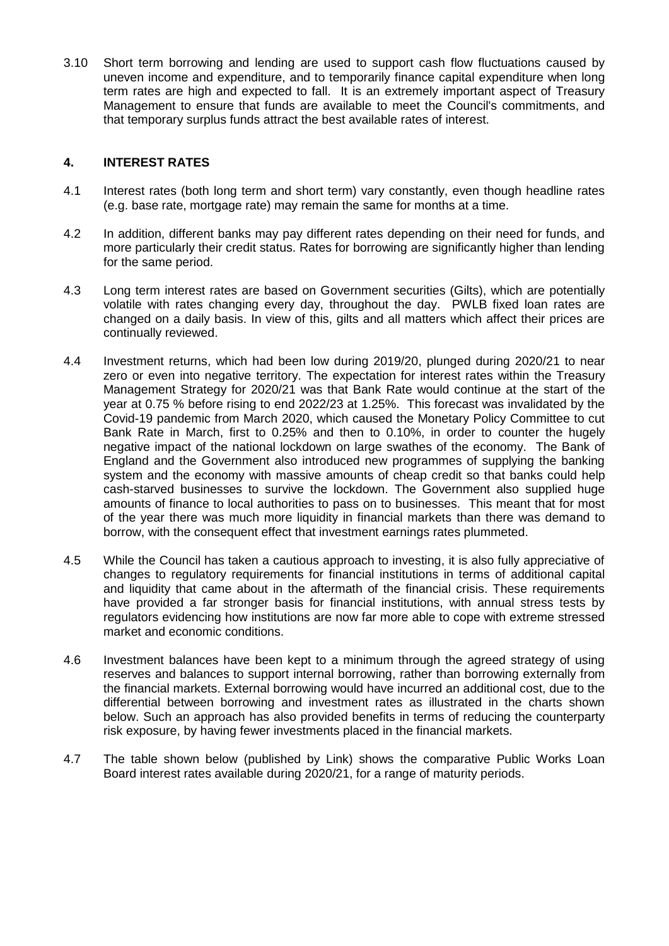3.10 Short term borrowing and lending are used to support cash flow fluctuations caused by uneven income and expenditure, and to temporarily finance capital expenditure when long term rates are high and expected to fall. It is an extremely important aspect of Treasury Management to ensure that funds are available to meet the Council's commitments, and that temporary surplus funds attract the best available rates of interest.

## **4. INTEREST RATES**

- 4.1 Interest rates (both long term and short term) vary constantly, even though headline rates (e.g. base rate, mortgage rate) may remain the same for months at a time.
- 4.2 In addition, different banks may pay different rates depending on their need for funds, and more particularly their credit status. Rates for borrowing are significantly higher than lending for the same period.
- 4.3 Long term interest rates are based on Government securities (Gilts), which are potentially volatile with rates changing every day, throughout the day. PWLB fixed loan rates are changed on a daily basis. In view of this, gilts and all matters which affect their prices are continually reviewed.
- 4.4 Investment returns, which had been low during 2019/20, plunged during 2020/21 to near zero or even into negative territory. The expectation for interest rates within the Treasury Management Strategy for 2020/21 was that Bank Rate would continue at the start of the year at 0.75 % before rising to end 2022/23 at 1.25%. This forecast was invalidated by the Covid-19 pandemic from March 2020, which caused the Monetary Policy Committee to cut Bank Rate in March, first to 0.25% and then to 0.10%, in order to counter the hugely negative impact of the national lockdown on large swathes of the economy. The Bank of England and the Government also introduced new programmes of supplying the banking system and the economy with massive amounts of cheap credit so that banks could help cash-starved businesses to survive the lockdown. The Government also supplied huge amounts of finance to local authorities to pass on to businesses. This meant that for most of the year there was much more liquidity in financial markets than there was demand to borrow, with the consequent effect that investment earnings rates plummeted.
- 4.5 While the Council has taken a cautious approach to investing, it is also fully appreciative of changes to regulatory requirements for financial institutions in terms of additional capital and liquidity that came about in the aftermath of the financial crisis. These requirements have provided a far stronger basis for financial institutions, with annual stress tests by regulators evidencing how institutions are now far more able to cope with extreme stressed market and economic conditions.
- 4.6 Investment balances have been kept to a minimum through the agreed strategy of using reserves and balances to support internal borrowing, rather than borrowing externally from the financial markets. External borrowing would have incurred an additional cost, due to the differential between borrowing and investment rates as illustrated in the charts shown below. Such an approach has also provided benefits in terms of reducing the counterparty risk exposure, by having fewer investments placed in the financial markets.
- 4.7 The table shown below (published by Link) shows the comparative Public Works Loan Board interest rates available during 2020/21, for a range of maturity periods.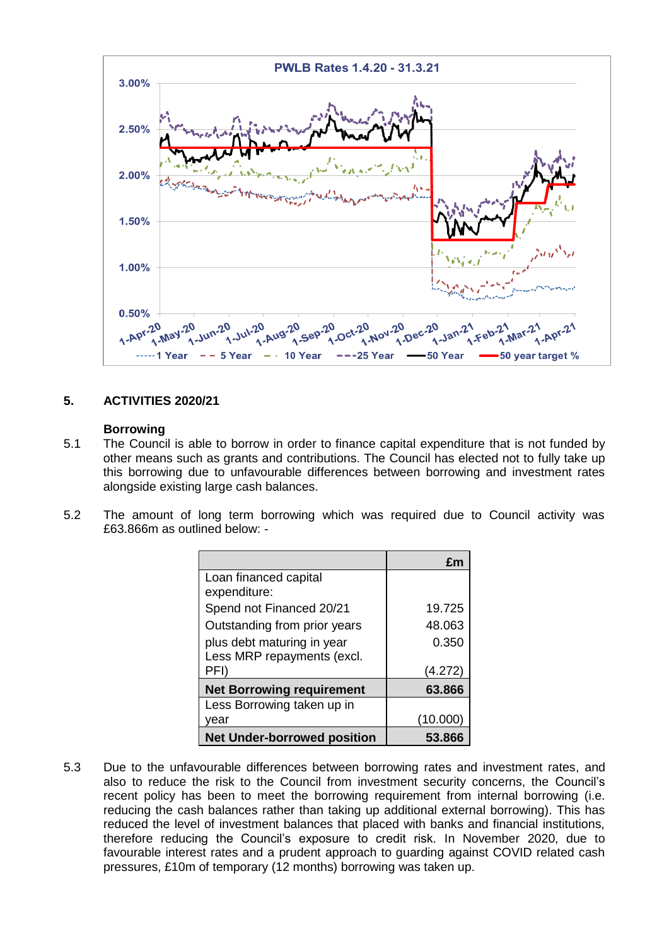

## **5. ACTIVITIES 2020/21**

#### **Borrowing**

- 5.1 The Council is able to borrow in order to finance capital expenditure that is not funded by other means such as grants and contributions. The Council has elected not to fully take up this borrowing due to unfavourable differences between borrowing and investment rates alongside existing large cash balances.
- 5.2 The amount of long term borrowing which was required due to Council activity was £63.866m as outlined below: -

|                                    | £m       |
|------------------------------------|----------|
| Loan financed capital              |          |
| expenditure:                       |          |
| Spend not Financed 20/21           | 19.725   |
| Outstanding from prior years       | 48.063   |
| plus debt maturing in year         | 0.350    |
| Less MRP repayments (excl.         |          |
| PFI)                               | (4.272)  |
| <b>Net Borrowing requirement</b>   | 63.866   |
| Less Borrowing taken up in         |          |
| year                               | (10.000) |
| <b>Net Under-borrowed position</b> | 53.866   |

5.3 Due to the unfavourable differences between borrowing rates and investment rates, and also to reduce the risk to the Council from investment security concerns, the Council's recent policy has been to meet the borrowing requirement from internal borrowing (i.e. reducing the cash balances rather than taking up additional external borrowing). This has reduced the level of investment balances that placed with banks and financial institutions, therefore reducing the Council's exposure to credit risk. In November 2020, due to favourable interest rates and a prudent approach to guarding against COVID related cash pressures, £10m of temporary (12 months) borrowing was taken up.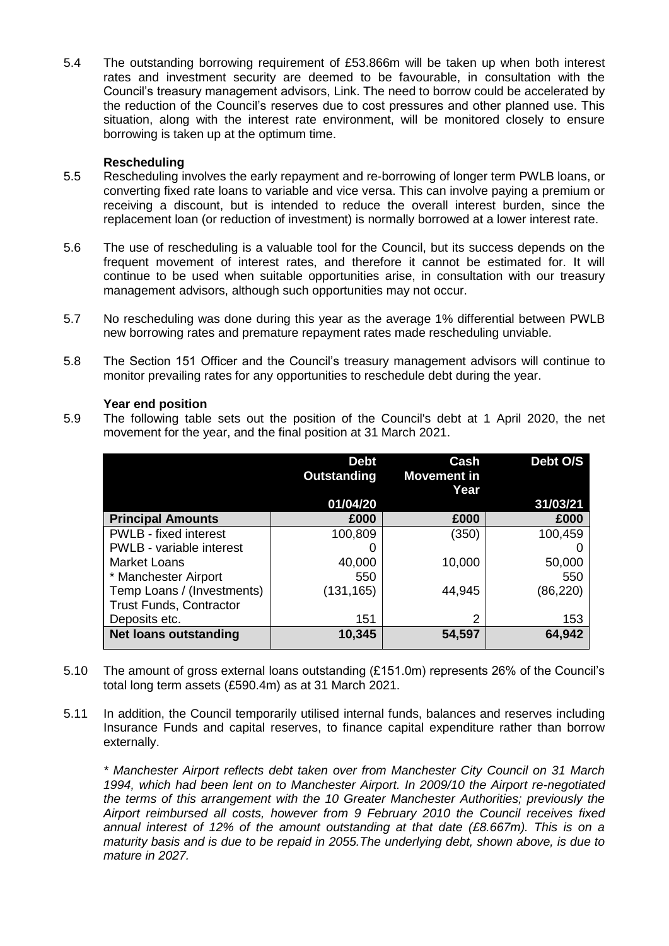5.4 The outstanding borrowing requirement of £53.866m will be taken up when both interest rates and investment security are deemed to be favourable, in consultation with the Council's treasury management advisors, Link. The need to borrow could be accelerated by the reduction of the Council's reserves due to cost pressures and other planned use. This situation, along with the interest rate environment, will be monitored closely to ensure borrowing is taken up at the optimum time.

#### **Rescheduling**

- 5.5 Rescheduling involves the early repayment and re-borrowing of longer term PWLB loans, or converting fixed rate loans to variable and vice versa. This can involve paying a premium or receiving a discount, but is intended to reduce the overall interest burden, since the replacement loan (or reduction of investment) is normally borrowed at a lower interest rate.
- 5.6 The use of rescheduling is a valuable tool for the Council, but its success depends on the frequent movement of interest rates, and therefore it cannot be estimated for. It will continue to be used when suitable opportunities arise, in consultation with our treasury management advisors, although such opportunities may not occur.
- 5.7 No rescheduling was done during this year as the average 1% differential between PWLB new borrowing rates and premature repayment rates made rescheduling unviable.
- 5.8 The Section 151 Officer and the Council's treasury management advisors will continue to monitor prevailing rates for any opportunities to reschedule debt during the year.

#### **Year end position**

5.9 The following table sets out the position of the Council's debt at 1 April 2020, the net movement for the year, and the final position at 31 March 2021.

|                                | <b>Debt</b> | Cash               | Debt O/S  |
|--------------------------------|-------------|--------------------|-----------|
|                                | Outstanding | <b>Movement in</b> |           |
|                                |             | Year               |           |
|                                | 01/04/20    |                    | 31/03/21  |
| <b>Principal Amounts</b>       | £000        | £000               | £000      |
| <b>PWLB</b> - fixed interest   | 100,809     | (350)              | 100,459   |
| PWLB - variable interest       |             |                    |           |
| <b>Market Loans</b>            | 40,000      | 10,000             | 50,000    |
| * Manchester Airport           | 550         |                    | 550       |
| Temp Loans / (Investments)     | (131, 165)  | 44,945             | (86, 220) |
| <b>Trust Funds, Contractor</b> |             |                    |           |
| Deposits etc.                  | 151         | 2                  | 153       |
| <b>Net loans outstanding</b>   | 10,345      | 54,597             | 64,942    |

- 5.10 The amount of gross external loans outstanding (£151.0m) represents 26% of the Council's total long term assets (£590.4m) as at 31 March 2021.
- 5.11 In addition, the Council temporarily utilised internal funds, balances and reserves including Insurance Funds and capital reserves, to finance capital expenditure rather than borrow externally.

*\* Manchester Airport reflects debt taken over from Manchester City Council on 31 March 1994, which had been lent on to Manchester Airport. In 2009/10 the Airport re-negotiated the terms of this arrangement with the 10 Greater Manchester Authorities; previously the Airport reimbursed all costs, however from 9 February 2010 the Council receives fixed annual interest of 12% of the amount outstanding at that date (£8.667m). This is on a maturity basis and is due to be repaid in 2055.The underlying debt, shown above, is due to mature in 2027.*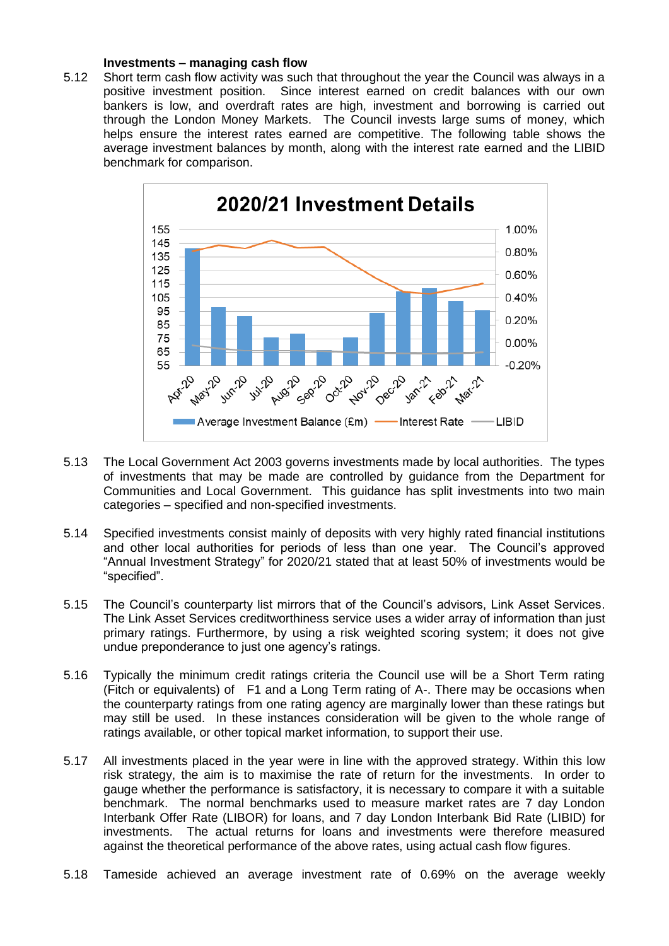#### **Investments – managing cash flow**

5.12 Short term cash flow activity was such that throughout the year the Council was always in a positive investment position. Since interest earned on credit balances with our own bankers is low, and overdraft rates are high, investment and borrowing is carried out through the London Money Markets. The Council invests large sums of money, which helps ensure the interest rates earned are competitive. The following table shows the average investment balances by month, along with the interest rate earned and the LIBID benchmark for comparison.



- 5.13 The Local Government Act 2003 governs investments made by local authorities. The types of investments that may be made are controlled by guidance from the Department for Communities and Local Government. This guidance has split investments into two main categories – specified and non-specified investments.
- 5.14 Specified investments consist mainly of deposits with very highly rated financial institutions and other local authorities for periods of less than one year. The Council's approved "Annual Investment Strategy" for 2020/21 stated that at least 50% of investments would be "specified".
- 5.15 The Council's counterparty list mirrors that of the Council's advisors, Link Asset Services. The Link Asset Services creditworthiness service uses a wider array of information than just primary ratings. Furthermore, by using a risk weighted scoring system; it does not give undue preponderance to just one agency's ratings.
- 5.16 Typically the minimum credit ratings criteria the Council use will be a Short Term rating (Fitch or equivalents) of F1 and a Long Term rating of A-. There may be occasions when the counterparty ratings from one rating agency are marginally lower than these ratings but may still be used. In these instances consideration will be given to the whole range of ratings available, or other topical market information, to support their use.
- 5.17 All investments placed in the year were in line with the approved strategy. Within this low risk strategy, the aim is to maximise the rate of return for the investments. In order to gauge whether the performance is satisfactory, it is necessary to compare it with a suitable benchmark. The normal benchmarks used to measure market rates are 7 day London Interbank Offer Rate (LIBOR) for loans, and 7 day London Interbank Bid Rate (LIBID) for investments. The actual returns for loans and investments were therefore measured against the theoretical performance of the above rates, using actual cash flow figures.
- 5.18 Tameside achieved an average investment rate of 0.69% on the average weekly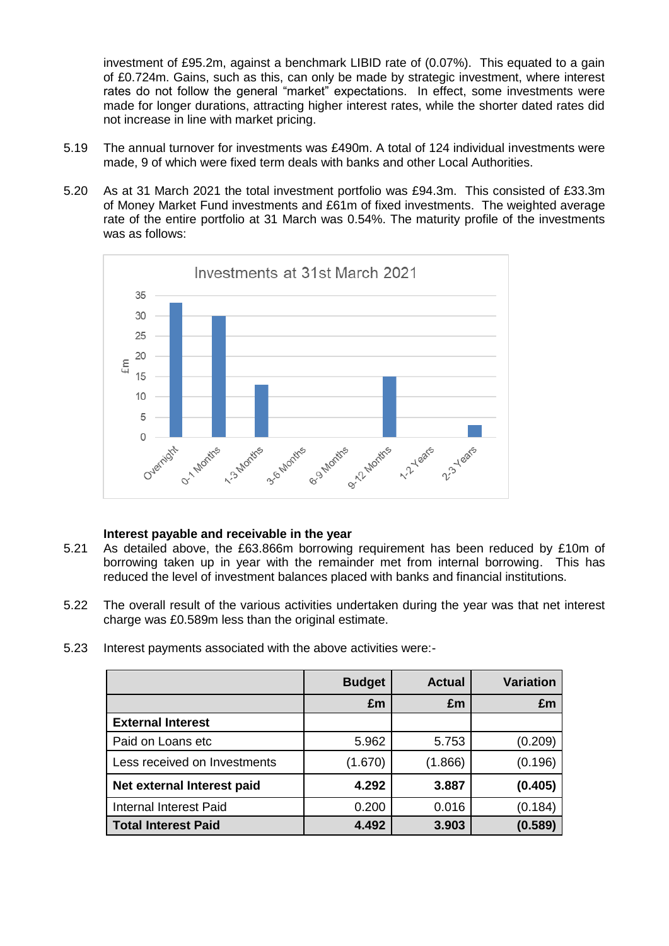investment of £95.2m, against a benchmark LIBID rate of (0.07%). This equated to a gain of £0.724m. Gains, such as this, can only be made by strategic investment, where interest rates do not follow the general "market" expectations. In effect, some investments were made for longer durations, attracting higher interest rates, while the shorter dated rates did not increase in line with market pricing.

- 5.19 The annual turnover for investments was £490m. A total of 124 individual investments were made, 9 of which were fixed term deals with banks and other Local Authorities.
- 5.20 As at 31 March 2021 the total investment portfolio was £94.3m. This consisted of £33.3m of Money Market Fund investments and £61m of fixed investments. The weighted average rate of the entire portfolio at 31 March was 0.54%. The maturity profile of the investments was as follows:



#### **Interest payable and receivable in the year**

- 5.21 As detailed above, the £63.866m borrowing requirement has been reduced by £10m of borrowing taken up in year with the remainder met from internal borrowing. This has reduced the level of investment balances placed with banks and financial institutions.
- 5.22 The overall result of the various activities undertaken during the year was that net interest charge was £0.589m less than the original estimate.
- 5.23 Interest payments associated with the above activities were:-

|                               | <b>Budget</b> | <b>Actual</b> | <b>Variation</b> |
|-------------------------------|---------------|---------------|------------------|
|                               | £m            | £m            | £m               |
| <b>External Interest</b>      |               |               |                  |
| Paid on Loans etc             | 5.962         | 5.753         | (0.209)          |
| Less received on Investments  | (1.670)       | (1.866)       | (0.196)          |
| Net external Interest paid    | 4.292         | 3.887         | (0.405)          |
| <b>Internal Interest Paid</b> | 0.200         | 0.016         | (0.184)          |
| <b>Total Interest Paid</b>    | 4.492         | 3.903         | (0.589)          |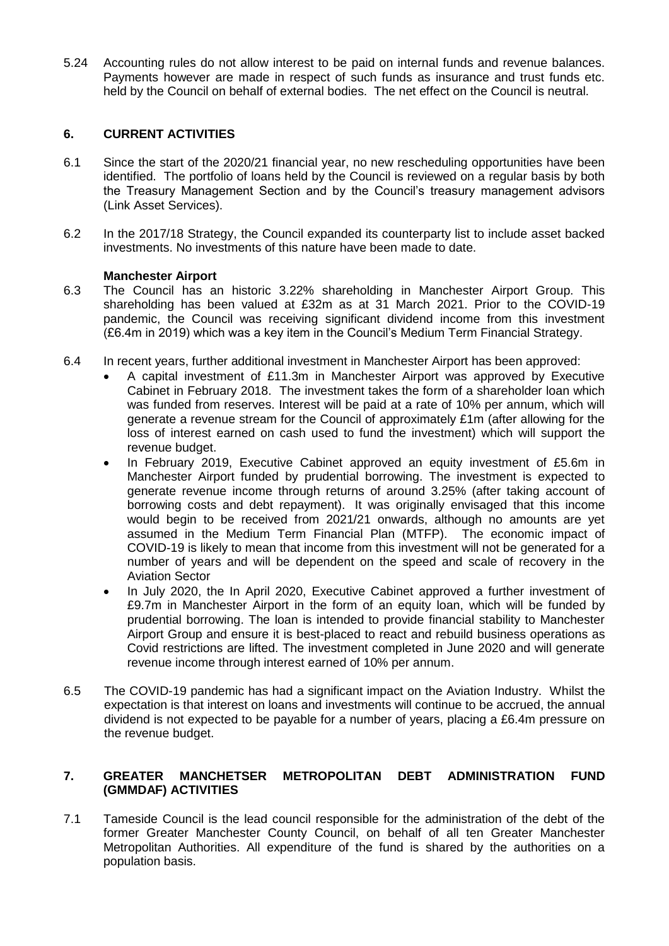5.24 Accounting rules do not allow interest to be paid on internal funds and revenue balances. Payments however are made in respect of such funds as insurance and trust funds etc. held by the Council on behalf of external bodies. The net effect on the Council is neutral.

### **6. CURRENT ACTIVITIES**

- 6.1 Since the start of the 2020/21 financial year, no new rescheduling opportunities have been identified. The portfolio of loans held by the Council is reviewed on a regular basis by both the Treasury Management Section and by the Council's treasury management advisors (Link Asset Services).
- 6.2 In the 2017/18 Strategy, the Council expanded its counterparty list to include asset backed investments. No investments of this nature have been made to date.

### **Manchester Airport**

- 6.3 The Council has an historic 3.22% shareholding in Manchester Airport Group. This shareholding has been valued at £32m as at 31 March 2021. Prior to the COVID-19 pandemic, the Council was receiving significant dividend income from this investment (£6.4m in 2019) which was a key item in the Council's Medium Term Financial Strategy.
- 6.4 In recent years, further additional investment in Manchester Airport has been approved:
	- A capital investment of £11.3m in Manchester Airport was approved by Executive Cabinet in February 2018. The investment takes the form of a shareholder loan which was funded from reserves. Interest will be paid at a rate of 10% per annum, which will generate a revenue stream for the Council of approximately £1m (after allowing for the loss of interest earned on cash used to fund the investment) which will support the revenue budget.
	- In February 2019, Executive Cabinet approved an equity investment of £5.6m in Manchester Airport funded by prudential borrowing. The investment is expected to generate revenue income through returns of around 3.25% (after taking account of borrowing costs and debt repayment). It was originally envisaged that this income would begin to be received from 2021/21 onwards, although no amounts are yet assumed in the Medium Term Financial Plan (MTFP). The economic impact of COVID-19 is likely to mean that income from this investment will not be generated for a number of years and will be dependent on the speed and scale of recovery in the Aviation Sector
	- In July 2020, the In April 2020, Executive Cabinet approved a further investment of £9.7m in Manchester Airport in the form of an equity loan, which will be funded by prudential borrowing. The loan is intended to provide financial stability to Manchester Airport Group and ensure it is best-placed to react and rebuild business operations as Covid restrictions are lifted. The investment completed in June 2020 and will generate revenue income through interest earned of 10% per annum.
- 6.5 The COVID-19 pandemic has had a significant impact on the Aviation Industry. Whilst the expectation is that interest on loans and investments will continue to be accrued, the annual dividend is not expected to be payable for a number of years, placing a £6.4m pressure on the revenue budget.

# **7. GREATER MANCHETSER METROPOLITAN DEBT ADMINISTRATION FUND (GMMDAF) ACTIVITIES**

7.1 Tameside Council is the lead council responsible for the administration of the debt of the former Greater Manchester County Council, on behalf of all ten Greater Manchester Metropolitan Authorities. All expenditure of the fund is shared by the authorities on a population basis.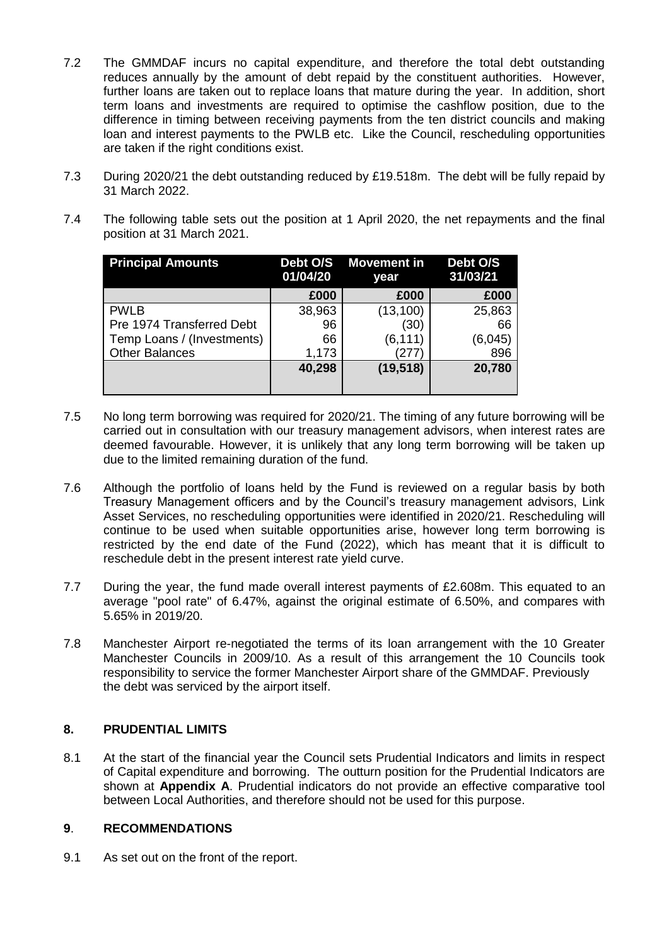- 7.2 The GMMDAF incurs no capital expenditure, and therefore the total debt outstanding reduces annually by the amount of debt repaid by the constituent authorities. However, further loans are taken out to replace loans that mature during the year. In addition, short term loans and investments are required to optimise the cashflow position, due to the difference in timing between receiving payments from the ten district councils and making loan and interest payments to the PWLB etc. Like the Council, rescheduling opportunities are taken if the right conditions exist.
- 7.3 During 2020/21 the debt outstanding reduced by £19.518m. The debt will be fully repaid by 31 March 2022.
- 7.4 The following table sets out the position at 1 April 2020, the net repayments and the final position at 31 March 2021.

| <b>Principal Amounts</b>   | 01/04/20 | Debt O/S Movement in<br>year | Debt O/S<br>31/03/21 |
|----------------------------|----------|------------------------------|----------------------|
|                            | £000     | £000                         | £000                 |
| <b>PWLB</b>                | 38,963   | (13, 100)                    | 25,863               |
| Pre 1974 Transferred Debt  | 96       | (30)                         | 66                   |
| Temp Loans / (Investments) | 66       | (6, 111)                     | (6,045)              |
| <b>Other Balances</b>      | 1,173    | 277                          | 896                  |
|                            | 40,298   | (19, 518)                    | 20,780               |

- 7.5 No long term borrowing was required for 2020/21. The timing of any future borrowing will be carried out in consultation with our treasury management advisors, when interest rates are deemed favourable. However, it is unlikely that any long term borrowing will be taken up due to the limited remaining duration of the fund.
- 7.6 Although the portfolio of loans held by the Fund is reviewed on a regular basis by both Treasury Management officers and by the Council's treasury management advisors, Link Asset Services, no rescheduling opportunities were identified in 2020/21. Rescheduling will continue to be used when suitable opportunities arise, however long term borrowing is restricted by the end date of the Fund (2022), which has meant that it is difficult to reschedule debt in the present interest rate yield curve.
- 7.7 During the year, the fund made overall interest payments of £2.608m. This equated to an average "pool rate" of 6.47%, against the original estimate of 6.50%, and compares with 5.65% in 2019/20.
- 7.8 Manchester Airport re-negotiated the terms of its loan arrangement with the 10 Greater Manchester Councils in 2009/10. As a result of this arrangement the 10 Councils took responsibility to service the former Manchester Airport share of the GMMDAF. Previously the debt was serviced by the airport itself.

### **8. PRUDENTIAL LIMITS**

8.1 At the start of the financial year the Council sets Prudential Indicators and limits in respect of Capital expenditure and borrowing. The outturn position for the Prudential Indicators are shown at **Appendix A**. Prudential indicators do not provide an effective comparative tool between Local Authorities, and therefore should not be used for this purpose.

### **9**. **RECOMMENDATIONS**

9.1 As set out on the front of the report.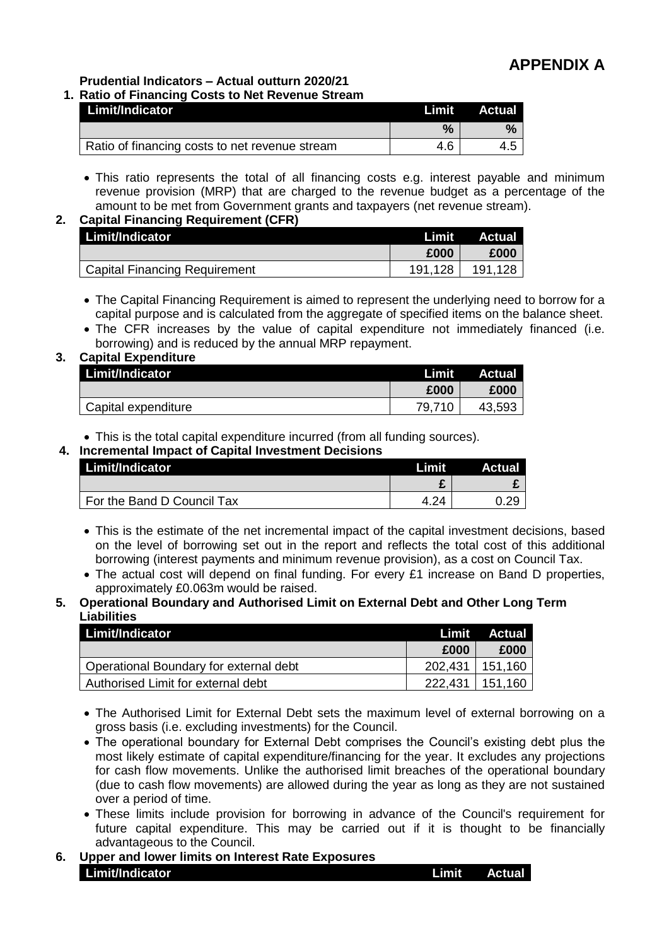**Prudential Indicators – Actual outturn 2020/21**

|  |  |  | 1. Ratio of Financing Costs to Net Revenue Stream |  |  |  |  |  |
|--|--|--|---------------------------------------------------|--|--|--|--|--|
|--|--|--|---------------------------------------------------|--|--|--|--|--|

| Limit/Indicator                                | Limit | Actual |
|------------------------------------------------|-------|--------|
|                                                | %     |        |
| Ratio of financing costs to net revenue stream | 4.6   |        |

 This ratio represents the total of all financing costs e.g. interest payable and minimum revenue provision (MRP) that are charged to the revenue budget as a percentage of the amount to be met from Government grants and taxpayers (net revenue stream).

# **2. Capital Financing Requirement (CFR)**

| Limit/Indicator                      | Limit       | Actual  |
|--------------------------------------|-------------|---------|
|                                      | £000        | £000    |
| <b>Capital Financing Requirement</b> | .128<br>191 | 191.128 |

- The Capital Financing Requirement is aimed to represent the underlying need to borrow for a capital purpose and is calculated from the aggregate of specified items on the balance sheet.
- The CFR increases by the value of capital expenditure not immediately financed (i.e. borrowing) and is reduced by the annual MRP repayment.

### **3. Capital Expenditure**

| Limit/Indicator     | <b>Limit</b> | <b>Actual</b> |
|---------------------|--------------|---------------|
|                     | £000         | £000          |
| Capital expenditure | 79,710       | 43,593        |

This is the total capital expenditure incurred (from all funding sources).

**4. Incremental Impact of Capital Investment Decisions**

| Limit/Indicator            | Limit      | <b>Actual</b> |
|----------------------------|------------|---------------|
|                            |            |               |
| For the Band D Council Tax | $2\Lambda$ |               |

- This is the estimate of the net incremental impact of the capital investment decisions, based on the level of borrowing set out in the report and reflects the total cost of this additional borrowing (interest payments and minimum revenue provision), as a cost on Council Tax.
- The actual cost will depend on final funding. For every £1 increase on Band D properties, approximately £0.063m would be raised.

#### **5. Operational Boundary and Authorised Limit on External Debt and Other Long Term Liabilities**

| Limit/Indicator                        | Limit   | Actual  |
|----------------------------------------|---------|---------|
|                                        | £000    | £000    |
| Operational Boundary for external debt | 202.431 | 151,160 |
| Authorised Limit for external debt     | 222.431 | 151,160 |

• The Authorised Limit for External Debt sets the maximum level of external borrowing on a gross basis (i.e. excluding investments) for the Council.

- The operational boundary for External Debt comprises the Council's existing debt plus the most likely estimate of capital expenditure/financing for the year. It excludes any projections for cash flow movements. Unlike the authorised limit breaches of the operational boundary (due to cash flow movements) are allowed during the year as long as they are not sustained over a period of time.
- These limits include provision for borrowing in advance of the Council's requirement for future capital expenditure. This may be carried out if it is thought to be financially advantageous to the Council.
- **6. Upper and lower limits on Interest Rate Exposures Limit/Indicator Limit Actual**